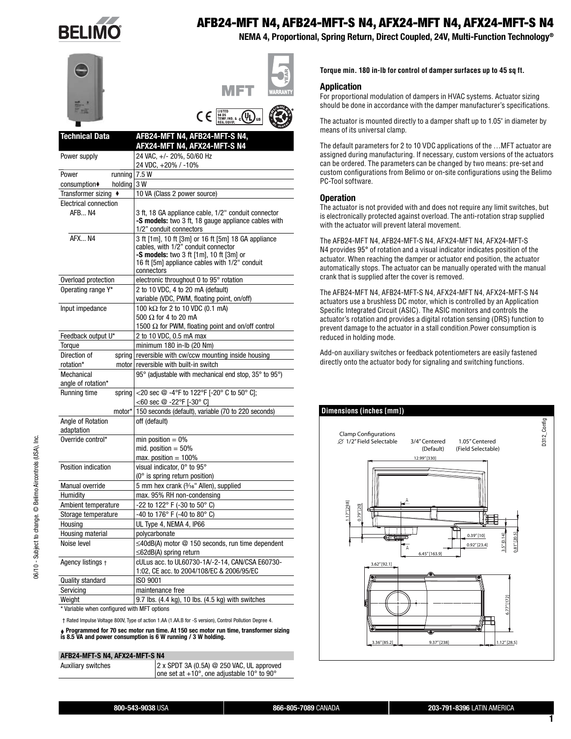

# **AFB24-MFT N4, AFB24-MFT-S N4, AFX24-MFT N4, AFX24-MFT-S N4**

**NEMA 4, Proportional, Spring Return, Direct Coupled, 24V, Multi-Function Technology®**







| <b>Technical Data</b>           | AFB24-MFT N4, AFB24-MFT-S N4,<br>AFX24-MFT N4, AFX24-MFT-S N4                                                                                                                          |
|---------------------------------|----------------------------------------------------------------------------------------------------------------------------------------------------------------------------------------|
| Power supply                    | 24 VAC, +/- 20%, 50/60 Hz<br>24 VDC, +20% / -10%                                                                                                                                       |
| running   7.5 W<br>Power        |                                                                                                                                                                                        |
| holding $ 3 W$<br>consumption♦  |                                                                                                                                                                                        |
| Transformer sizing ♦            | 10 VA (Class 2 power source)                                                                                                                                                           |
| Electrical connection           |                                                                                                                                                                                        |
| <b>AFB N4</b>                   | 3 ft, 18 GA appliance cable, 1/2" conduit connector                                                                                                                                    |
|                                 | -S models: two 3 ft, 18 gauge appliance cables with<br>1/2" conduit connectors                                                                                                         |
| <b>AFX N4</b>                   | 3 ft [1m], 10 ft [3m] or 16 ft [5m] 18 GA appliance<br>cables, with 1/2" conduit connector<br>-S models: two 3 ft [1m], 10 ft [3m] or<br>16 ft [5m] appliance cables with 1/2" conduit |
| Overload protection             | connectors<br>electronic throughout 0 to 95° rotation                                                                                                                                  |
| Operating range Y*              | 2 to 10 VDC, 4 to 20 mA (default)                                                                                                                                                      |
|                                 | variable (VDC, PWM, floating point, on/off)                                                                                                                                            |
| Input impedance                 | 100 kΩ for 2 to 10 VDC (0.1 mA)                                                                                                                                                        |
|                                 | 500 $\Omega$ for 4 to 20 mA                                                                                                                                                            |
|                                 | 1500 Ω for PWM, floating point and on/off control                                                                                                                                      |
| Feedback output U*              | 2 to 10 VDC, 0.5 mA max                                                                                                                                                                |
| Torque                          | minimum 180 in-lb (20 Nm)                                                                                                                                                              |
| Direction of                    | spring reversible with cw/ccw mounting inside housing                                                                                                                                  |
| rotation*<br>motor              | reversible with built-in switch                                                                                                                                                        |
| Mechanical                      | 95° (adjustable with mechanical end stop, 35° to 95°)                                                                                                                                  |
| angle of rotation*              |                                                                                                                                                                                        |
| Running time<br>spring          | <20 sec @ -4°F to 122°F [-20° C to 50° C];                                                                                                                                             |
|                                 | <60 sec @ -22°F [-30° C]                                                                                                                                                               |
| motor*                          | 150 seconds (default), variable (70 to 220 seconds)                                                                                                                                    |
| Angle of Rotation<br>adaptation | off (default)                                                                                                                                                                          |
| Override control*               | min position $= 0\%$                                                                                                                                                                   |
|                                 | mid. position $= 50\%$<br>max. position $= 100\%$                                                                                                                                      |
| Position indication             | visual indicator. 0° to 95°                                                                                                                                                            |
|                                 | $(0^{\circ}$ is spring return position)                                                                                                                                                |
| Manual override                 | 5 mm hex crank (3/16" Allen), supplied                                                                                                                                                 |
| Humidity                        | max. 95% RH non-condensing                                                                                                                                                             |
| Ambient temperature             | -22 to 122° F (-30 to 50° C)                                                                                                                                                           |
| Storage temperature             | -40 to 176° F (-40 to 80° C)                                                                                                                                                           |
| Housing                         | UL Type 4, NEMA 4, IP66                                                                                                                                                                |
| Housing material                | polycarbonate                                                                                                                                                                          |
| Noise level                     | $\leq$ 40dB(A) motor @ 150 seconds, run time dependent                                                                                                                                 |
|                                 | ≤62dB(A) spring return                                                                                                                                                                 |
| Agency listings +               | cULus acc. to UL60730-1A/-2-14, CAN/CSA E60730-<br>1:02, CE acc. to 2004/108/EC & 2006/95/EC                                                                                           |
| <b>Quality standard</b>         | ISO 9001                                                                                                                                                                               |
| Servicing                       | maintenance free                                                                                                                                                                       |
| Weight                          | 9.7 lbs. (4.4 kg), 10 lbs. (4.5 kg) with switches                                                                                                                                      |

\* Variable when configured with MFT options

† Rated Impulse Voltage 800V, Type of action 1.AA (1.AA.B for -S version), Control Pollution Degree 4.

 **Programmed for 70 sec motor run time. At 150 sec motor run time, transformer sizing is 8.5 VA and power consumption is 6 W running / 3 W holding.**

#### **AFB24-MFT-S N4, AFX24-MFT-S N4**

Auxiliary switches 2 x SPDT 3A (0.5A) @ 250 VAC, UL approved one set at  $+10^{\circ}$ , one adjustable 10° to 90°

**Torque min. 180 in-lb for control of damper surfaces up to 45 sq ft.**

#### **Application**

For proportional modulation of dampers in HVAC systems. Actuator sizing should be done in accordance with the damper manufacturer's specifications.

The actuator is mounted directly to a damper shaft up to 1.05" in diameter by means of its universal clamp.

The default parameters for 2 to 10 VDC applications of the …MFT actuator are assigned during manufacturing. If necessary, custom versions of the actuators can be ordered. The parameters can be changed by two means: pre-set and custom configurations from Belimo or on-site configurations using the Belimo PC-Tool software.

#### **Operation**

The actuator is not provided with and does not require any limit switches, but is electronically protected against overload. The anti-rotation strap supplied with the actuator will prevent lateral movement.

The AFB24-MFT N4, AFB24-MFT-S N4, AFX24-MFT N4, AFX24-MFT-S N4 provides 95° of rotation and a visual indicator indicates position of the actuator. When reaching the damper or actuator end position, the actuator automatically stops. The actuator can be manually operated with the manual crank that is supplied after the cover is removed.

The AFB24-MFT N4, AFB24-MFT-S N4, AFX24-MFT N4, AFX24-MFT-S N4 actuators use a brushless DC motor, which is controlled by an Application Specific Integrated Circuit (ASIC). The ASIC monitors and controls the actuator's rotation and provides a digital rotation sensing (DRS) function to prevent damage to the actuator in a stall condition.Power consumption is reduced in holding mode.

Add-on auxiliary switches or feedback potentiometers are easily fastened directly onto the actuator body for signaling and switching functions.